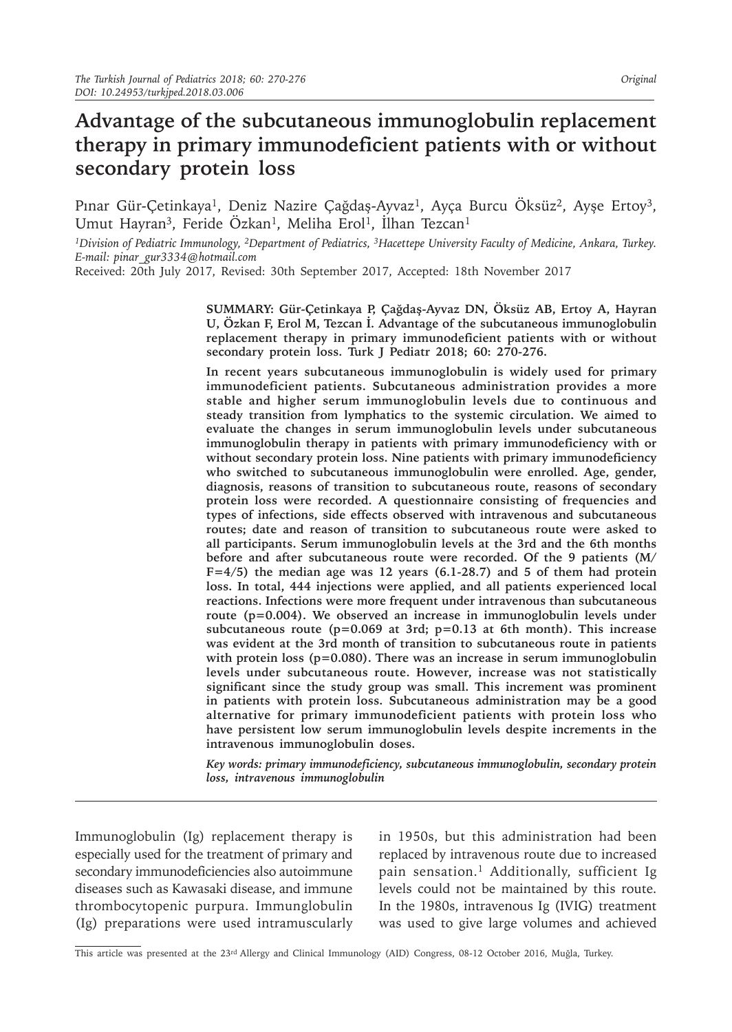# **Advantage of the subcutaneous immunoglobulin replacement therapy in primary immunodeficient patients with or without secondary protein loss**

Pınar Gür-Çetinkaya<sup>1</sup>, Deniz Nazire Çağdaş-Ayvaz<sup>1</sup>, Ayça Burcu Öksüz<sup>2</sup>, Ayşe Ertoy<sup>3</sup>, Umut Hayran<sup>3</sup>, Feride Özkan<sup>1</sup>, Meliha Erol<sup>1</sup>, İlhan Tezcan<sup>1</sup>

*1Division of Pediatric Immunology, 2Department of Pediatrics, 3Hacettepe University Faculty of Medicine, Ankara, Turkey. E-mail: pinar\_gur3334@hotmail.com*

Received: 20th July 2017, Revised: 30th September 2017, Accepted: 18th November 2017

**SUMMARY: Gür-Çetinkaya P, Çağdaş-Ayvaz DN, Öksüz AB, Ertoy A, Hayran U, Özkan F, Erol M, Tezcan İ. Advantage of the subcutaneous immunoglobulin replacement therapy in primary immunodeficient patients with or without secondary protein loss. Turk J Pediatr 2018; 60: 270-276.**

**In recent years subcutaneous immunoglobulin is widely used for primary immunodeficient patients. Subcutaneous administration provides a more stable and higher serum immunoglobulin levels due to continuous and steady transition from lymphatics to the systemic circulation. We aimed to evaluate the changes in serum immunoglobulin levels under subcutaneous immunoglobulin therapy in patients with primary immunodeficiency with or without secondary protein loss. Nine patients with primary immunodeficiency who switched to subcutaneous immunoglobulin were enrolled. Age, gender, diagnosis, reasons of transition to subcutaneous route, reasons of secondary protein loss were recorded. A questionnaire consisting of frequencies and types of infections, side effects observed with intravenous and subcutaneous routes; date and reason of transition to subcutaneous route were asked to all participants. Serum immunoglobulin levels at the 3rd and the 6th months before and after subcutaneous route were recorded. Of the 9 patients (M/ F=4/5) the median age was 12 years (6.1-28.7) and 5 of them had protein loss. In total, 444 injections were applied, and all patients experienced local reactions. Infections were more frequent under intravenous than subcutaneous route (p=0.004). We observed an increase in immunoglobulin levels under subcutaneous route (p=0.069 at 3rd; p=0.13 at 6th month). This increase was evident at the 3rd month of transition to subcutaneous route in patients with protein loss (p=0.080). There was an increase in serum immunoglobulin levels under subcutaneous route. However, increase was not statistically significant since the study group was small. This increment was prominent in patients with protein loss. Subcutaneous administration may be a good alternative for primary immunodeficient patients with protein loss who have persistent low serum immunoglobulin levels despite increments in the intravenous immunoglobulin doses.** 

*Key words: primary immunodeficiency, subcutaneous immunoglobulin, secondary protein loss, intravenous immunoglobulin*

Immunoglobulin (Ig) replacement therapy is especially used for the treatment of primary and secondary immunodeficiencies also autoimmune diseases such as Kawasaki disease, and immune thrombocytopenic purpura. Immunglobulin (Ig) preparations were used intramuscularly in 1950s, but this administration had been replaced by intravenous route due to increased pain sensation.<sup>1</sup> Additionally, sufficient Ig levels could not be maintained by this route. In the 1980s, intravenous Ig (IVIG) treatment was used to give large volumes and achieved

This article was presented at the 23<sup>rd</sup> Allergy and Clinical Immunology (AID) Congress, 08-12 October 2016, Muğla, Turkey.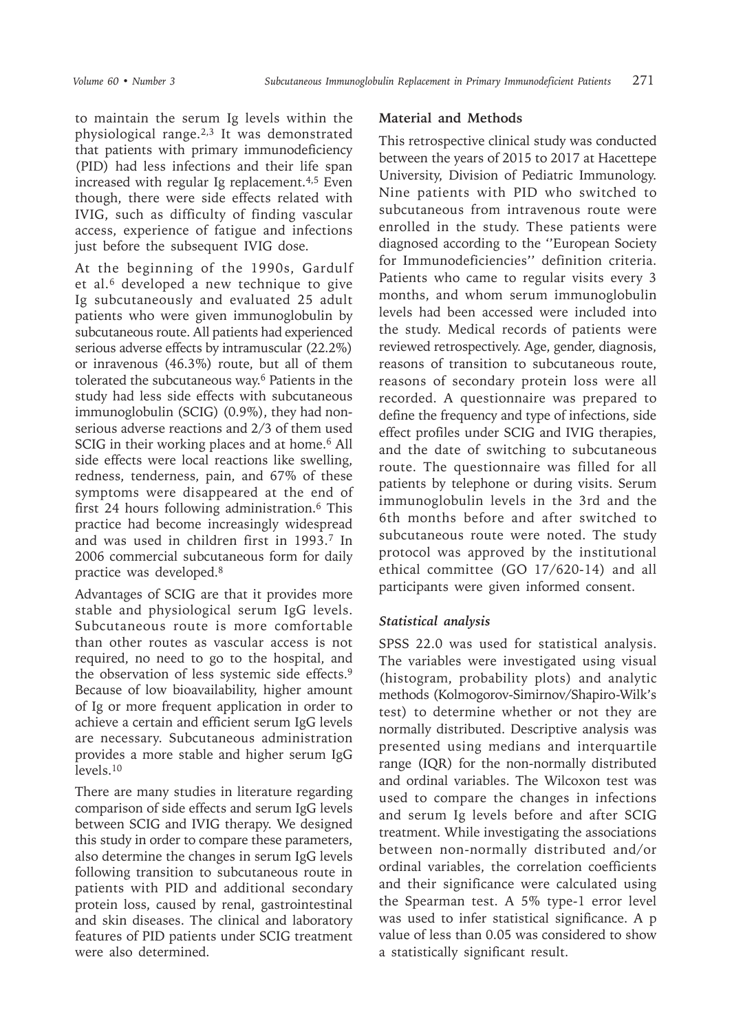to maintain the serum Ig levels within the physiological range.2,3 It was demonstrated that patients with primary immunodeficiency (PID) had less infections and their life span increased with regular Ig replacement. $4,5$  Even though, there were side effects related with IVIG, such as difficulty of finding vascular access, experience of fatigue and infections just before the subsequent IVIG dose.

At the beginning of the 1990s, Gardulf et al.<sup>6</sup> developed a new technique to give Ig subcutaneously and evaluated 25 adult patients who were given immunoglobulin by subcutaneous route. All patients had experienced serious adverse effects by intramuscular (22.2%) or inravenous (46.3%) route, but all of them tolerated the subcutaneous way.<sup>6</sup> Patients in the study had less side effects with subcutaneous immunoglobulin (SCIG) (0.9%), they had nonserious adverse reactions and 2/3 of them used SCIG in their working places and at home.<sup>6</sup> All side effects were local reactions like swelling, redness, tenderness, pain, and 67% of these symptoms were disappeared at the end of first 24 hours following administration.6 This practice had become increasingly widespread and was used in children first in 1993.7 In 2006 commercial subcutaneous form for daily practice was developed.8

Advantages of SCIG are that it provides more stable and physiological serum IgG levels. Subcutaneous route is more comfortable than other routes as vascular access is not required, no need to go to the hospital, and the observation of less systemic side effects.9 Because of low bioavailability, higher amount of Ig or more frequent application in order to achieve a certain and efficient serum IgG levels are necessary. Subcutaneous administration provides a more stable and higher serum IgG levels.<sup>10</sup>

There are many studies in literature regarding comparison of side effects and serum IgG levels between SCIG and IVIG therapy. We designed this study in order to compare these parameters, also determine the changes in serum IgG levels following transition to subcutaneous route in patients with PID and additional secondary protein loss, caused by renal, gastrointestinal and skin diseases. The clinical and laboratory features of PID patients under SCIG treatment were also determined.

## **Material and Methods**

This retrospective clinical study was conducted between the years of 2015 to 2017 at Hacettepe University, Division of Pediatric Immunology. Nine patients with PID who switched to subcutaneous from intravenous route were enrolled in the study. These patients were diagnosed according to the ''European Society for Immunodeficiencies'' definition criteria. Patients who came to regular visits every 3 months, and whom serum immunoglobulin levels had been accessed were included into the study. Medical records of patients were reviewed retrospectively. Age, gender, diagnosis, reasons of transition to subcutaneous route, reasons of secondary protein loss were all recorded. A questionnaire was prepared to define the frequency and type of infections, side effect profiles under SCIG and IVIG therapies, and the date of switching to subcutaneous route. The questionnaire was filled for all patients by telephone or during visits. Serum immunoglobulin levels in the 3rd and the 6th months before and after switched to subcutaneous route were noted. The study protocol was approved by the institutional ethical committee (GO 17/620-14) and all participants were given informed consent.

## *Statistical analysis*

SPSS 22.0 was used for statistical analysis. The variables were investigated using visual (histogram, probability plots) and analytic methods (Kolmogorov-Simirnov/Shapiro-Wilk's test) to determine whether or not they are normally distributed. Descriptive analysis was presented using medians and interquartile range (IQR) for the non-normally distributed and ordinal variables. The Wilcoxon test was used to compare the changes in infections and serum Ig levels before and after SCIG treatment. While investigating the associations between non-normally distributed and/or ordinal variables, the correlation coefficients and their significance were calculated using the Spearman test. A 5% type-1 error level was used to infer statistical significance. A p value of less than 0.05 was considered to show a statistically significant result.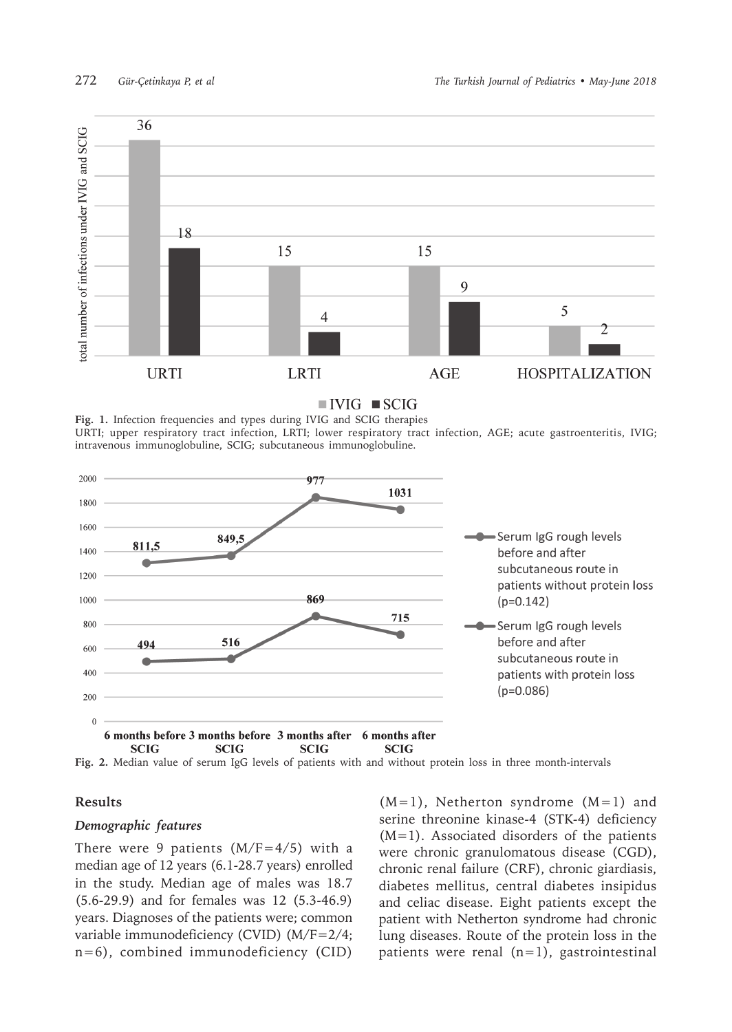

 $\blacksquare$  IVIG  $\blacksquare$  SCIG

**Fig. 1.** Infection frequencies and types during IVIG and SCIG therapies URTI; upper respiratory tract infection, LRTI; lower respiratory tract infection, AGE; acute gastroenteritis, IVIG; intravenous immunoglobuline, SCIG; subcutaneous immunoglobuline.



**Fig. 2.** Median value of serum IgG levels of patients with and without protein loss in three month-intervals

#### **Results**

#### *Demographic features*

There were 9 patients  $(M/F=4/5)$  with a median age of 12 years (6.1-28.7 years) enrolled in the study. Median age of males was 18.7 (5.6-29.9) and for females was 12 (5.3-46.9) years. Diagnoses of the patients were; common variable immunodeficiency (CVID) (M/F=2/4; n=6), combined immunodeficiency (CID)

 $(M=1)$ , Netherton syndrome  $(M=1)$  and serine threonine kinase-4 (STK-4) deficiency (M=1). Associated disorders of the patients were chronic granulomatous disease (CGD), chronic renal failure (CRF), chronic giardiasis, diabetes mellitus, central diabetes insipidus and celiac disease. Eight patients except the patient with Netherton syndrome had chronic lung diseases. Route of the protein loss in the patients were renal  $(n=1)$ , gastrointestinal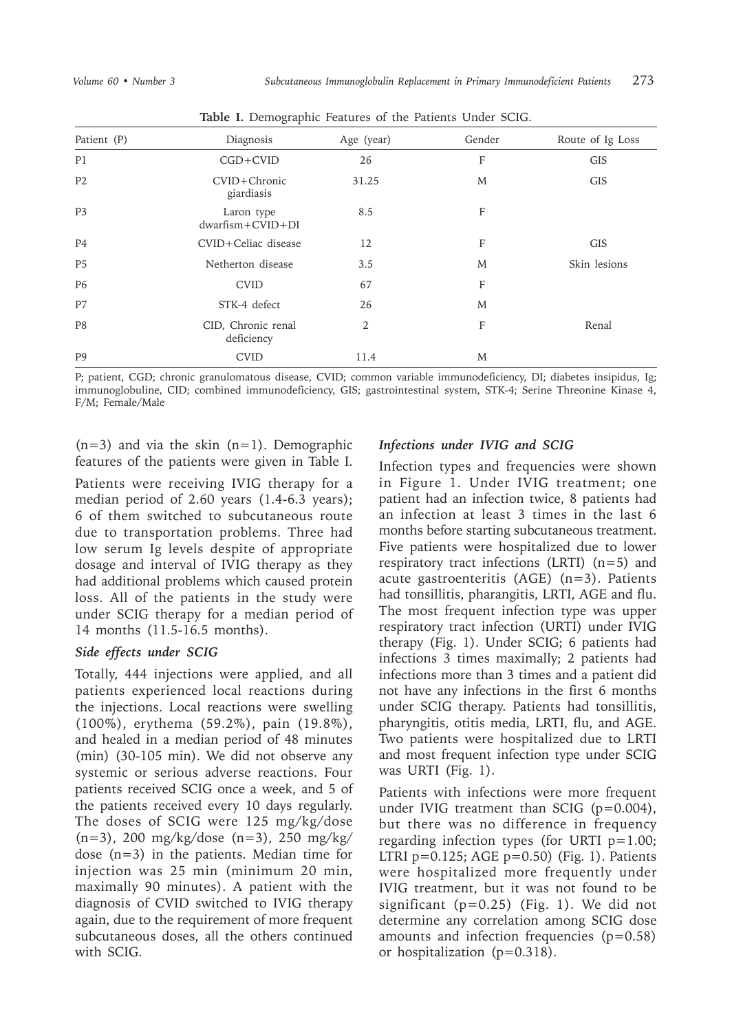| Patient (P)    | Diagnosis                               | Age (year)     | Gender | Route of Ig Loss |
|----------------|-----------------------------------------|----------------|--------|------------------|
| P1             | $CGD+CVID$                              | 26             | F      | <b>GIS</b>       |
| P <sub>2</sub> | CVID+Chronic<br>giardiasis              | 31.25          | M      | <b>GIS</b>       |
| P <sub>3</sub> | Laron type<br>$d$ warfism + $CVID + DI$ | 8.5            | F      |                  |
| P4             | CVID+Celiac disease                     | 12             | F      | <b>GIS</b>       |
| <b>P5</b>      | Netherton disease                       | 3.5            | M      | Skin lesions     |
| P <sub>6</sub> | <b>CVID</b>                             | 67             | F      |                  |
| P7             | STK-4 defect                            | 26             | M      |                  |
| P <sub>8</sub> | CID, Chronic renal<br>deficiency        | $\overline{2}$ | F      | Renal            |
| P <sub>9</sub> | <b>CVID</b>                             | 11.4           | M      |                  |

**Table I.** Demographic Features of the Patients Under SCIG.

P; patient, CGD; chronic granulomatous disease, CVID; common variable immunodeficiency, DI; diabetes insipidus, Ig; immunoglobuline, CID; combined immunodeficiency, GIS; gastrointestinal system, STK-4; Serine Threonine Kinase 4, F/M; Female/Male

 $(n=3)$  and via the skin  $(n=1)$ . Demographic features of the patients were given in Table I.

Patients were receiving IVIG therapy for a median period of 2.60 years (1.4-6.3 years); 6 of them switched to subcutaneous route due to transportation problems. Three had low serum Ig levels despite of appropriate dosage and interval of IVIG therapy as they had additional problems which caused protein loss. All of the patients in the study were under SCIG therapy for a median period of 14 months (11.5-16.5 months).

## *Side effects under SCIG*

Totally, 444 injections were applied, and all patients experienced local reactions during the injections. Local reactions were swelling (100%), erythema (59.2%), pain (19.8%), and healed in a median period of 48 minutes (min) (30-105 min). We did not observe any systemic or serious adverse reactions. Four patients received SCIG once a week, and 5 of the patients received every 10 days regularly. The doses of SCIG were 125 mg/kg/dose (n=3), 200 mg/kg/dose (n=3), 250 mg/kg/ dose (n=3) in the patients. Median time for injection was 25 min (minimum 20 min, maximally 90 minutes). A patient with the diagnosis of CVID switched to IVIG therapy again, due to the requirement of more frequent subcutaneous doses, all the others continued with SCIG.

# *Infections under IVIG and SCIG*

Infection types and frequencies were shown in Figure 1. Under IVIG treatment; one patient had an infection twice, 8 patients had an infection at least 3 times in the last 6 months before starting subcutaneous treatment. Five patients were hospitalized due to lower respiratory tract infections (LRTI) (n=5) and acute gastroenteritis (AGE) (n=3). Patients had tonsillitis, pharangitis, LRTI, AGE and flu. The most frequent infection type was upper respiratory tract infection (URTI) under IVIG therapy (Fig. 1). Under SCIG; 6 patients had infections 3 times maximally; 2 patients had infections more than 3 times and a patient did not have any infections in the first 6 months under SCIG therapy. Patients had tonsillitis, pharyngitis, otitis media, LRTI, flu, and AGE. Two patients were hospitalized due to LRTI and most frequent infection type under SCIG was URTI (Fig. 1).

Patients with infections were more frequent under IVIG treatment than SCIG (p=0.004), but there was no difference in frequency regarding infection types (for URTI  $p=1.00$ ; LTRI  $p=0.125$ ; AGE  $p=0.50$ ) (Fig. 1). Patients were hospitalized more frequently under IVIG treatment, but it was not found to be significant  $(p=0.25)$  (Fig. 1). We did not determine any correlation among SCIG dose amounts and infection frequencies  $(p=0.58)$ or hospitalization (p=0.318).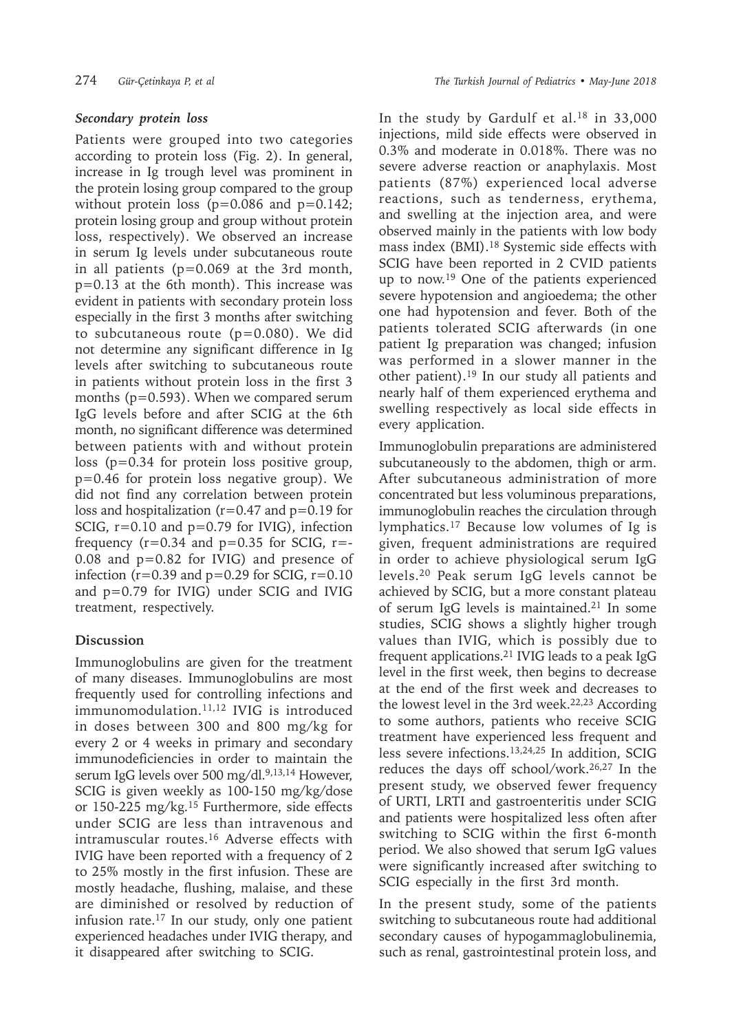#### *Secondary protein loss*

Patients were grouped into two categories according to protein loss (Fig. 2). In general, increase in Ig trough level was prominent in the protein losing group compared to the group without protein loss  $(p=0.086$  and  $p=0.142$ ; protein losing group and group without protein loss, respectively). We observed an increase in serum Ig levels under subcutaneous route in all patients (p=0.069 at the 3rd month, p=0.13 at the 6th month). This increase was evident in patients with secondary protein loss especially in the first 3 months after switching to subcutaneous route (p=0.080). We did not determine any significant difference in Ig levels after switching to subcutaneous route in patients without protein loss in the first 3 months (p=0.593). When we compared serum IgG levels before and after SCIG at the 6th month, no significant difference was determined between patients with and without protein loss (p=0.34 for protein loss positive group, p=0.46 for protein loss negative group). We did not find any correlation between protein loss and hospitalization ( $r=0.47$  and  $p=0.19$  for SCIG, r=0.10 and p=0.79 for IVIG), infection frequency ( $r=0.34$  and  $p=0.35$  for SCIG,  $r=-$ 0.08 and p=0.82 for IVIG) and presence of infection ( $r=0.39$  and  $p=0.29$  for SCIG,  $r=0.10$ and p=0.79 for IVIG) under SCIG and IVIG treatment, respectively.

## **Discussion**

Immunoglobulins are given for the treatment of many diseases. Immunoglobulins are most frequently used for controlling infections and  $immunomodulation.<sup>11,12</sup>$  IVIG is introduced in doses between 300 and 800 mg/kg for every 2 or 4 weeks in primary and secondary immunodeficiencies in order to maintain the serum IgG levels over 500 mg/dl.<sup>9,13,14</sup> However, SCIG is given weekly as 100-150 mg/kg/dose or 150-225 mg/kg.<sup>15</sup> Furthermore, side effects under SCIG are less than intravenous and intramuscular routes.<sup>16</sup> Adverse effects with IVIG have been reported with a frequency of 2 to 25% mostly in the first infusion. These are mostly headache, flushing, malaise, and these are diminished or resolved by reduction of infusion rate.17 In our study, only one patient experienced headaches under IVIG therapy, and it disappeared after switching to SCIG.

In the study by Gardulf et al.<sup>18</sup> in 33,000 injections, mild side effects were observed in 0.3% and moderate in 0.018%. There was no severe adverse reaction or anaphylaxis. Most patients (87%) experienced local adverse reactions, such as tenderness, erythema, and swelling at the injection area, and were observed mainly in the patients with low body mass index (BMI).18 Systemic side effects with SCIG have been reported in 2 CVID patients up to now.19 One of the patients experienced severe hypotension and angioedema; the other one had hypotension and fever. Both of the patients tolerated SCIG afterwards (in one patient Ig preparation was changed; infusion was performed in a slower manner in the other patient).19 In our study all patients and nearly half of them experienced erythema and swelling respectively as local side effects in every application.

Immunoglobulin preparations are administered subcutaneously to the abdomen, thigh or arm. After subcutaneous administration of more concentrated but less voluminous preparations, immunoglobulin reaches the circulation through lymphatics.17 Because low volumes of Ig is given, frequent administrations are required in order to achieve physiological serum IgG levels.<sup>20</sup> Peak serum IgG levels cannot be achieved by SCIG, but a more constant plateau of serum IgG levels is maintained.<sup>21</sup> In some studies, SCIG shows a slightly higher trough values than IVIG, which is possibly due to frequent applications.<sup>21</sup> IVIG leads to a peak IgG level in the first week, then begins to decrease at the end of the first week and decreases to the lowest level in the 3rd week. $22,23$  According to some authors, patients who receive SCIG treatment have experienced less frequent and less severe infections.13,24,25 In addition, SCIG reduces the days off school/work.26,27 In the present study, we observed fewer frequency of URTI, LRTI and gastroenteritis under SCIG and patients were hospitalized less often after switching to SCIG within the first 6-month period. We also showed that serum IgG values were significantly increased after switching to SCIG especially in the first 3rd month.

In the present study, some of the patients switching to subcutaneous route had additional secondary causes of hypogammaglobulinemia, such as renal, gastrointestinal protein loss, and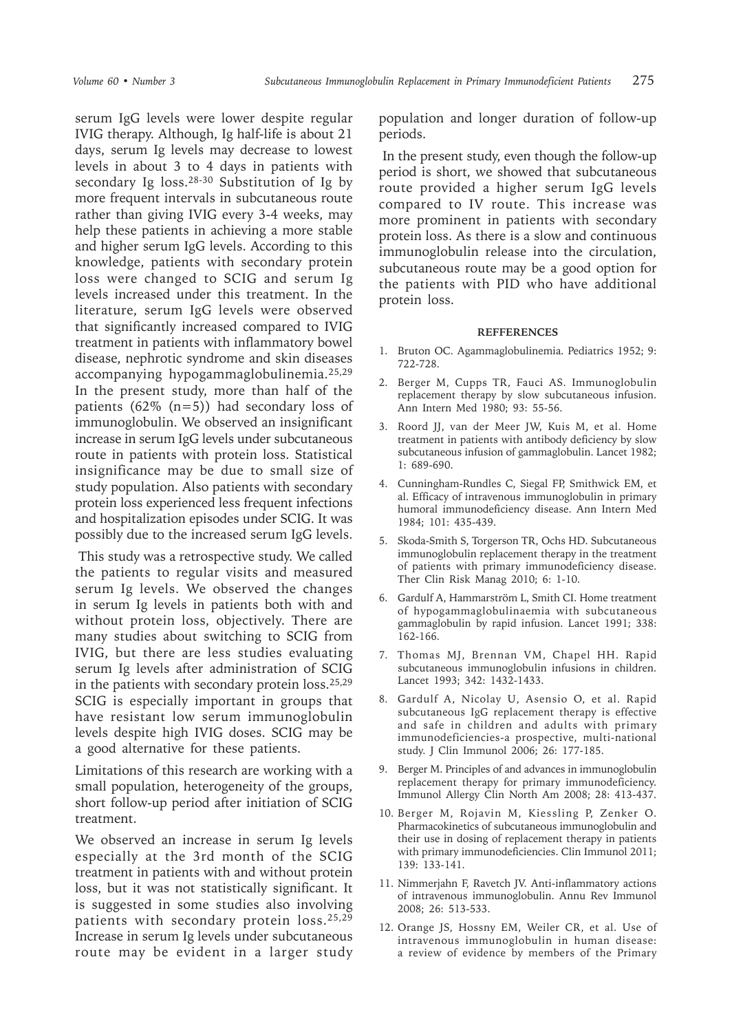serum IgG levels were lower despite regular IVIG therapy. Although, Ig half-life is about 21 days, serum Ig levels may decrease to lowest levels in about 3 to 4 days in patients with secondary Ig loss.<sup>28-30</sup> Substitution of Ig by more frequent intervals in subcutaneous route rather than giving IVIG every 3-4 weeks, may help these patients in achieving a more stable and higher serum IgG levels. According to this knowledge, patients with secondary protein loss were changed to SCIG and serum Ig levels increased under this treatment. In the literature, serum IgG levels were observed that significantly increased compared to IVIG treatment in patients with inflammatory bowel disease, nephrotic syndrome and skin diseases accompanying hypogammaglobulinemia.25,29 In the present study, more than half of the patients  $(62\% (n=5))$  had secondary loss of immunoglobulin. We observed an insignificant increase in serum IgG levels under subcutaneous route in patients with protein loss. Statistical insignificance may be due to small size of study population. Also patients with secondary protein loss experienced less frequent infections and hospitalization episodes under SCIG. It was possibly due to the increased serum IgG levels.

 This study was a retrospective study. We called the patients to regular visits and measured serum Ig levels. We observed the changes in serum Ig levels in patients both with and without protein loss, objectively. There are many studies about switching to SCIG from IVIG, but there are less studies evaluating serum Ig levels after administration of SCIG in the patients with secondary protein loss.<sup>25,29</sup> SCIG is especially important in groups that have resistant low serum immunoglobulin levels despite high IVIG doses. SCIG may be a good alternative for these patients.

Limitations of this research are working with a small population, heterogeneity of the groups, short follow-up period after initiation of SCIG treatment.

We observed an increase in serum Ig levels especially at the 3rd month of the SCIG treatment in patients with and without protein loss, but it was not statistically significant. It is suggested in some studies also involving patients with secondary protein loss.25,29 Increase in serum Ig levels under subcutaneous route may be evident in a larger study

population and longer duration of follow-up periods.

 In the present study, even though the follow-up period is short, we showed that subcutaneous route provided a higher serum IgG levels compared to IV route. This increase was more prominent in patients with secondary protein loss. As there is a slow and continuous immunoglobulin release into the circulation, subcutaneous route may be a good option for the patients with PID who have additional protein loss.

#### **REFFERENCES**

- 1. Bruton OC. Agammaglobulinemia. Pediatrics 1952; 9: 722-728.
- 2. Berger M, Cupps TR, Fauci AS. Immunoglobulin replacement therapy by slow subcutaneous infusion. Ann Intern Med 1980; 93: 55-56.
- 3. Roord JJ, van der Meer JW, Kuis M, et al. Home treatment in patients with antibody deficiency by slow subcutaneous infusion of gammaglobulin. Lancet 1982; 1: 689-690.
- 4. Cunningham-Rundles C, Siegal FP, Smithwick EM, et al. Efficacy of intravenous immunoglobulin in primary humoral immunodeficiency disease. Ann Intern Med 1984; 101: 435-439.
- 5. Skoda-Smith S, Torgerson TR, Ochs HD. Subcutaneous immunoglobulin replacement therapy in the treatment of patients with primary immunodeficiency disease. Ther Clin Risk Manag 2010; 6: 1-10.
- 6. Gardulf A, Hammarström L, Smith CI. Home treatment of hypogammaglobulinaemia with subcutaneous gammaglobulin by rapid infusion. Lancet 1991; 338: 162-166.
- 7. Thomas MJ, Brennan VM, Chapel HH. Rapid subcutaneous immunoglobulin infusions in children. Lancet 1993; 342: 1432-1433.
- 8. Gardulf A, Nicolay U, Asensio O, et al. Rapid subcutaneous IgG replacement therapy is effective and safe in children and adults with primary immunodeficiencies-a prospective, multi-national study. J Clin Immunol 2006; 26: 177-185.
- 9. Berger M. Principles of and advances in immunoglobulin replacement therapy for primary immunodeficiency. Immunol Allergy Clin North Am 2008; 28: 413-437.
- 10. Berger M, Rojavin M, Kiessling P, Zenker O. Pharmacokinetics of subcutaneous immunoglobulin and their use in dosing of replacement therapy in patients with primary immunodeficiencies. Clin Immunol 2011; 139: 133-141.
- 11. Nimmerjahn F, Ravetch JV. Anti-inflammatory actions of intravenous immunoglobulin. Annu Rev Immunol 2008; 26: 513-533.
- 12. Orange JS, Hossny EM, Weiler CR, et al. Use of intravenous immunoglobulin in human disease: a review of evidence by members of the Primary